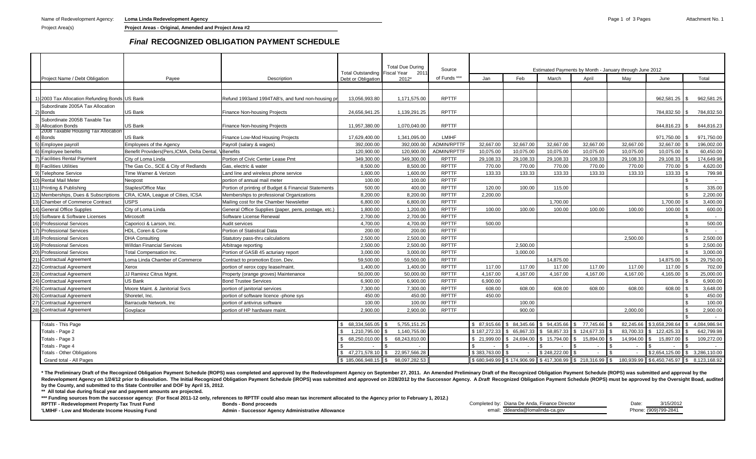Name of Redevelopment Agency: **Loma Linda Redevelopment Agency Page 1 of 3 Pages** Attachment No. 1

## *Final* **RECOGNIZED OBLIGATION PAYMENT SCHEDULE**

|                                                           |                                                                             |                                                                          | Total Outstanding Fiscal Year    | <b>Total Due During</b><br>2011    | Source             | Estimated Payments by Month - January through June 2012 |                           |              |                         |              |                |                                                                                                                                                                                |  |  |
|-----------------------------------------------------------|-----------------------------------------------------------------------------|--------------------------------------------------------------------------|----------------------------------|------------------------------------|--------------------|---------------------------------------------------------|---------------------------|--------------|-------------------------|--------------|----------------|--------------------------------------------------------------------------------------------------------------------------------------------------------------------------------|--|--|
| Project Name / Debt Obligation                            | Payee                                                                       | Description                                                              | Debt or Obligation               | 2012*                              | of Funds ***       | Jan                                                     | Feb                       | March        | April                   | May          | June           | Total                                                                                                                                                                          |  |  |
|                                                           |                                                                             |                                                                          |                                  |                                    |                    |                                                         |                           |              |                         |              |                |                                                                                                                                                                                |  |  |
|                                                           |                                                                             |                                                                          |                                  |                                    |                    |                                                         |                           |              |                         |              |                |                                                                                                                                                                                |  |  |
| 2003 Tax Allocation Refunding Bonds US Bank               |                                                                             | Refund 1993and 1994TAB's, and fund non-housing p                         | 13,056,993.80                    | 1,171,575.00                       | <b>RPTTF</b>       |                                                         |                           |              |                         |              | 962,581.25     | 962,581.25<br>l Si                                                                                                                                                             |  |  |
| Subordinate 2005A Tax Allocation                          |                                                                             |                                                                          |                                  |                                    |                    |                                                         |                           |              |                         |              |                |                                                                                                                                                                                |  |  |
| 2) Bonds                                                  | US Bank                                                                     | <b>Finance Non-housing Projects</b>                                      | 24.656.941.25                    | 1,139,291.25                       | <b>RPTTF</b>       |                                                         |                           |              |                         |              | 784,832.50     | 784,832.50<br>l Si                                                                                                                                                             |  |  |
| Subordinate 2005B Taxable Tax                             |                                                                             |                                                                          |                                  |                                    |                    |                                                         |                           |              |                         |              |                |                                                                                                                                                                                |  |  |
| 3) Allocation Bonds                                       | US Bank                                                                     | Finance Non-housing Projects                                             | 11,957,380.00                    | 1,070,040.00                       | <b>RPTTF</b>       |                                                         |                           |              |                         |              | 844,816.23 \$  | 844,816.23                                                                                                                                                                     |  |  |
| 2008 Taxable Housing Tax Allocation<br>4) Bonds           | US Bank                                                                     | Finance Low-Mod Housing Projects                                         | 17.629.400.00                    | 1.341.095.00                       | LMIHF              |                                                         |                           |              |                         |              | 971.750.00     | 971.750.00<br>l \$                                                                                                                                                             |  |  |
| 5) Employee payroll                                       | <b>Employees of the Agency</b>                                              | Payroll (salary & wages)                                                 | 392.000.00                       | 392,000.00                         | ADMIN/RPTTF        | 32.667.00                                               | 32,667.00                 | 32,667.00    | 32,667.00               | 32,667.00    | 32,667.00      | 196,002.00<br>l \$                                                                                                                                                             |  |  |
| 6) Employee benefits                                      | Benefit Providers(Pers, ICMA, Delta Dental,                                 | Benefits                                                                 | 120,900.00                       | 120,900.00                         | <b>ADMIN/RPTTF</b> | 10,075.00                                               | 10,075.00                 | 10,075.00    | 10,075.00               | 10,075.00    | 10,075.00      | 60,450.00                                                                                                                                                                      |  |  |
| 7) Facilities Rental Payment                              | City of Loma Linda                                                          | Portion of Civic Center Lease Pmt                                        | 349,300.00                       | 349,300.00                         | <b>RPTTF</b>       | 29,108.33                                               | 29,108.33                 | 29,108.33    | 29,108.33               | 29,108.33    | 29,108.33 \$   | 174,649.98                                                                                                                                                                     |  |  |
| 8) Facilities Utilities                                   | The Gas Co., SCE & City of Redlands                                         | Gas, electric & water                                                    | 8,500.00                         | 8,500.00                           | <b>RPTTF</b>       | 770.00                                                  | 770.00                    | 770.00       | 770.00                  | 770.00       | 770.00 \$      | 4,620.00                                                                                                                                                                       |  |  |
| 9) Telephone Service                                      | Time Warner & Verizon                                                       | Land line and wireless phone service                                     | 1,600.00                         | 1.600.00                           | <b>RPTTF</b>       | 133.33                                                  | 133.33                    | 133.33       | 133.33                  | 133.33       | 133.33 \$      | 799.98                                                                                                                                                                         |  |  |
| 10) Rental Mail Meter                                     | Neopost                                                                     | portion of annual mail meter                                             | 100.00                           | 100.00                             | <b>RPTTF</b>       |                                                         |                           |              |                         |              |                | \$                                                                                                                                                                             |  |  |
| Staples/Office Max<br>11) Printing & Publishing           |                                                                             | Portion of printing of Budget & Financial Statements                     | 500.00                           | 400.00                             | <b>RPTTF</b>       | 120.00                                                  | 100.00                    | 115.00       |                         |              |                | - \$<br>335.00                                                                                                                                                                 |  |  |
| 12) Memberships, Dues & Subscriptions                     | CRA, ICMA, League of Cities, ICSA                                           | Memberships to professional Organizations                                | 8,200.00                         | 8,200.00                           | <b>RPTTF</b>       | 2,200.00                                                |                           |              |                         |              |                | 2,200.00<br>- \$                                                                                                                                                               |  |  |
| <b>JSPS</b>                                               |                                                                             |                                                                          | 6,800.00                         | 6,800.00                           | <b>RPTTF</b>       |                                                         |                           | 1,700.00     |                         |              | 1,700.00 \$    | 3,400.00                                                                                                                                                                       |  |  |
| 14) General Office Supples                                | 13) Chamber of Commerce Contract<br>Mailing cost for the Chamber Newsletter |                                                                          | 1,800.00                         | 1,200.00                           | <b>RPTTF</b>       | 100.00                                                  | 100.00                    | 100.00       | 100.00                  | 100.00       | 100.00         | 600.00<br>l \$                                                                                                                                                                 |  |  |
| 15) Software & Software Licenses                          | City of Loma Linda                                                          | General Office Supplies (paper, pens, postage, etc.)                     | 2,700.00                         | 2,700.00                           | <b>RPTTF</b>       |                                                         |                           |              |                         |              |                |                                                                                                                                                                                |  |  |
| 16) Professional Services                                 | Mircosoft<br>Caporicci & Larson, Inc.                                       | Software License Renewal<br>Audit services                               | 4.700.00                         | 4.700.00                           | <b>RPTTF</b>       | 500.00                                                  |                           |              |                         |              |                | - \$<br>500.00                                                                                                                                                                 |  |  |
| 17) Professional Services                                 | HDL. Coren & Cone                                                           | Portion of Statistical Data                                              | 200.00                           | 200.00                             | <b>RPTTF</b>       |                                                         |                           |              |                         |              |                | \$                                                                                                                                                                             |  |  |
| 18) Professional Services                                 | <b>DHA Consulting</b>                                                       | Statutory pass-thru calculations                                         | 2,500.00                         | 2,500.00                           | <b>RPTTF</b>       |                                                         |                           |              |                         | 2.500.00     |                | $\mathcal{S}$<br>2,500.00                                                                                                                                                      |  |  |
| 19) Professional Services                                 | <b>Willdan Financial Services</b>                                           |                                                                          |                                  | 2,500.00                           | <b>RPTTF</b>       |                                                         | 2.500.00                  |              |                         |              |                | \$<br>2.500.00                                                                                                                                                                 |  |  |
| <b>Professional Services</b>                              | <b>Total Compensation Inc.</b>                                              | Arbitrage reporting                                                      | 2,500.00                         | 3,000.00                           | <b>RPTTF</b>       |                                                         | 3.000.00                  |              |                         |              |                | 3,000.00<br>$\mathcal{S}$                                                                                                                                                      |  |  |
| 20)                                                       | oma Linda Chamber of Commerce                                               | Portion of GASB 45 acturiary report<br>Contract to promotion Econ. Dev.  | 3,000.00<br>59,500.00            | 59,500.00                          | <b>RPTTF</b>       |                                                         |                           | 14.875.00    |                         |              | 14,875.00 \$   | 29,750.00                                                                                                                                                                      |  |  |
| Contractual Agreement<br>22) Contractual Agreement        |                                                                             | portion of xerox copy lease/maint                                        | 1.400.00                         | 1.400.00                           | <b>RPTTF</b>       | 117.00                                                  | 117.00                    | 117.00       | 117.00                  | 117.00       | 117.00         | 702.00<br>l \$                                                                                                                                                                 |  |  |
| 23) Contractual Agreement                                 | Xerox<br>JJ Ramirez Citrus Momt.                                            |                                                                          | 50.000.00                        | 50.000.00                          | <b>RPTTF</b>       | 4.167.00                                                | 4.167.00                  | 4.167.00     | 4.167.00                | 4.167.00     | 4.165.00       | 25.000.00                                                                                                                                                                      |  |  |
|                                                           | <b>JS Bank</b>                                                              | Property (orange groves) Maintenance<br><b>Bond Trustee Services</b>     | 6,900.00                         | 6.900.00                           | <b>RPTTF</b>       | 6.900.00                                                |                           |              |                         |              |                | 6,900.00                                                                                                                                                                       |  |  |
| 24) Contractual Agreement<br><b>Contractual Agreement</b> | Moore Maint, & Janitorial Sycs                                              |                                                                          | 7,300.00                         | 7,300.00                           | <b>RPTTF</b>       | 608.00                                                  | 608.00                    | 608.00       | 608.00                  | 608.00       | 608.00 \$      | 3,648.00                                                                                                                                                                       |  |  |
| 26) Contractual Agreement                                 | Shoretel, Inc.                                                              | portion of janitorial services<br>portion of software licence -phone sys | 450.00                           | 450.00                             | <b>RPTTF</b>       | 450.00                                                  |                           |              |                         |              |                | - \$<br>450.00                                                                                                                                                                 |  |  |
| 27) Contractual Agreement                                 | Barracude Network, Inc.                                                     | portion of antivirus software                                            | 100.00                           | 100.00                             | <b>RPTTF</b>       |                                                         | 100.00                    |              |                         |              |                | $\mathfrak{s}$<br>100.00                                                                                                                                                       |  |  |
| 28) Contractual Agreement                                 |                                                                             | portion of HP hardware maint                                             | 2,900.00                         | 2,900.00                           | <b>RPTTF</b>       |                                                         | 900.00                    |              |                         | 2,000.00     |                | - \$<br>2,900.00                                                                                                                                                               |  |  |
|                                                           | Govplace                                                                    |                                                                          |                                  |                                    |                    |                                                         |                           |              |                         |              |                | \$                                                                                                                                                                             |  |  |
|                                                           |                                                                             |                                                                          |                                  |                                    |                    | \$ 87.915.66                                            | \$ 84,345.66 \$ 94,435.66 |              | \$                      | 82,245.66    | \$3,658,298.64 | 4.084.986.94<br>l \$                                                                                                                                                           |  |  |
| Totals - This Page<br>Totals - Page 2                     |                                                                             |                                                                          | 68,334,565.05 \$<br>1.210.795.00 | 5,755,151.25<br>1.140.755.00       |                    | \$187.272.33                                            | 65.867.33                 | \$58,857.33  | 77,745.66<br>124.677.33 | 83.700.33    | 122,425.33     | 642,799.98                                                                                                                                                                     |  |  |
| Totals - Page 3                                           |                                                                             |                                                                          | 68,250,010.00 \$                 | 68,243,810.00                      |                    | \$ 21,999.00                                            | \$ 24,694.00              |              | 15,894.00               | 14,994.00    | 15,897.00      | 109,272.00                                                                                                                                                                     |  |  |
| Totals - Page 4                                           |                                                                             |                                                                          |                                  |                                    |                    |                                                         |                           | \$15,794.00  |                         |              |                |                                                                                                                                                                                |  |  |
| <b>Totals - Other Obligations</b>                         |                                                                             |                                                                          |                                  | 47,271,578.10 \$ 22,957,566.28     |                    | \$383,763,00                                            | $\sim$                    | \$248,222.00 | $\sim$                  | \$<br>$\sim$ |                | \$2,654,125.00 \$ 3,286,110.00                                                                                                                                                 |  |  |
| Grand total - All Pages                                   |                                                                             |                                                                          |                                  | $$185,066,948.15$ $$98,097,282.53$ |                    |                                                         |                           |              |                         |              |                | $\frac{1}{3680,949.99}$ $\frac{1}{3174,906.99}$ $\frac{1}{3417,308.99}$ $\frac{1}{3218,316.99}$ $\frac{1}{36}$ 180,939.99 $\frac{1}{36450,745.97}$ $\frac{1}{36}$ 8,123,168.92 |  |  |

\* The Preliminary Draft of the Recognized Obligation Payment Schedule (ROPS) was completed and approved by the Redevelopment Agency on September 27, 2011. An Amended Preliminary Draft of the Recognized Obligation Payment S Redevelopment Agency on 1/24/12 prior to dissolution. The Initial Recognized Obligation Payment Schedule (iROPS) was submitted and approved on 2/28/2012 by the Successor Agency. A Draft Recognized Obligation Payment Schedu **by the County, and submitted to ths State Controller and DOF by April 15, 2012.**

**\*\* All total due during fiscal year and payment amounts are projected.**

\*\*\* Funding sources from the successor agency: (For fiscal 2011-12 only, references to RPTTF could also mean tax increment allocated to the Agency prior to February 1, 2012.) **Bonds - Bond proceeds**

**RPTTF - Redevelopment Property Tax Trust Fund**

**'LMIHF - Low and Moderate Income Housing Fund**

**Admin - Successor Agency Administrative Allowance**

Completed by: Diana De Anda, Finance Director **Date:** 2/15/2012 email: ddeanda@lomalinda-ca.gov Phone: (909)799-2841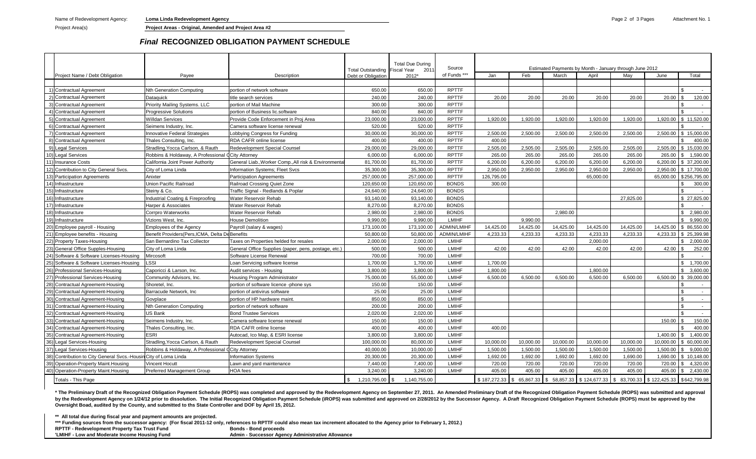Project Area(s) **Project Areas - Original, Amended and Project Area #2**

# *Final* **RECOGNIZED OBLIGATION PAYMENT SCHEDULE**

|                                                              |                                                 | Total Outstanding Fiscal Year                        |                    | <b>Total Due During</b><br>201 | Source             | Estimated Payments by Month - January through June 2012 |                            |           |              |           |              |                               |  |
|--------------------------------------------------------------|-------------------------------------------------|------------------------------------------------------|--------------------|--------------------------------|--------------------|---------------------------------------------------------|----------------------------|-----------|--------------|-----------|--------------|-------------------------------|--|
| Project Name / Debt Obligation                               | Payee                                           | Description                                          | Debt or Obligation | 2012*                          | of Funds ***       | Jan                                                     | Feb                        | March     | April        | May       | June         | Total                         |  |
|                                                              |                                                 |                                                      |                    |                                |                    |                                                         |                            |           |              |           |              |                               |  |
| <b>Contractual Agreement</b>                                 | <b>Nth Generation Computing</b>                 | portion of network software                          | 650.00             | 650.00                         | <b>RPTTF</b>       |                                                         |                            |           |              |           |              |                               |  |
| <b>Contractual Agreement</b>                                 | Dataquick                                       | title search services                                | 240.00             | 240.00                         | <b>RPTTF</b>       | 20.00                                                   | 20.00                      | 20.00     | 20.00        | 20.00     | 20.00        | 120.00                        |  |
| <b>Contractual Agreement</b>                                 | Priority Mailing Systems. LLC                   | portion of Mail Machine                              | 300.00             | 300.00                         | <b>RPTTF</b>       |                                                         |                            |           |              |           |              | $\sim$                        |  |
| <b>Contractual Agreement</b>                                 | <b>Progressive Solutions</b>                    | portion of Business lic.software                     | 840.00             | 840.00                         | <b>RPTTF</b>       |                                                         |                            |           |              |           |              | ፍ                             |  |
| <b>Contractual Agreement</b>                                 | <b>Willdan Services</b>                         | Provide Code Enforcement in Proj Area                | 23,000.00          | 23,000.00                      | <b>RPTTF</b>       | 1,920.00                                                | 1,920.00                   | 1,920.00  | 1,920.00     | 1,920.00  | 1,920.00     | \$11,520.00                   |  |
| <b>Contractual Agreement</b>                                 | Seimens Industry, Inc.                          | Camera software license renewal                      | 520.00             | 520.00                         | <b>RPTTF</b>       |                                                         |                            |           |              |           |              |                               |  |
| <b>Contractual Agreement</b>                                 | nnovative Federal Strategies                    | Lobbying Congress for Funding                        | 30,000.00          | 30,000.00                      | <b>RPTTF</b>       | 2,500.00                                                | 2,500.00                   | 2,500.00  | 2,500.00     | 2,500.00  | 2,500.00     | \$<br>15,000.00               |  |
| Contractual Agreement                                        | Thales Consulting, Inc.                         | RDA CAFR online license                              | 400.00             | 400.00                         | <b>RPTTF</b>       | 400.00                                                  |                            |           |              |           |              | 400.00                        |  |
| Legal Services                                               | Stradling, Yocca Carlson, & Rauth               | Redevelopment Special Counsel                        | 29,000.00          | 29,000.00                      | <b>RPTTF</b>       | 2,505.00                                                | 2.505.00                   | 2,505.00  | 2,505.00     | 2.505.00  | 2.505.00     | \$15,030,00                   |  |
| 10<br><b>Legal Services</b>                                  | Robbins & Holdaway, A Professional              | <b>City Attorney</b>                                 | 6,000.00           | 6,000.00                       | <b>RPTTF</b>       | 265.00                                                  | 265.00                     | 265.00    | 265.00       | 265.00    | 265.00       | \$1,590.00                    |  |
| 11<br>nsurance Costs                                         | California Joint Power Authority                | General LiabWorker CompAll risk & Environmenta       | 81.700.00          | 81.700.00                      | <b>RPTTF</b>       | 6,200.00                                                | 6,200.00                   | 6,200.00  | 6.200.00     | 6,200.00  | 6.200.00     | \$ 37,200,00                  |  |
| Contribution to City General Svcs.                           | City of Loma Linda                              | Information Systems; Fleet Svcs                      | 35,300.00          | 35,300.00                      | <b>RPTTF</b>       | 2,950.00                                                | 2,950.00                   | 2,950.00  | 2.950.00     | 2,950.00  | 2,950.00     | \$17,700.00                   |  |
| <b>Participation Agreements</b>                              | Anixter                                         | <b>Participation Agreements</b>                      | 257,000.00         | 257,000.00                     | <b>RPTTF</b>       | 126.795.00                                              |                            |           | 65,000.00    |           | 65,000.00    | \$256,795.00                  |  |
| Infrastructure<br>14                                         | Jnion Pacific Railroad                          | Railroad Crossing Quiet Zone                         | 120,650.00         | 120,650.00                     | <b>BONDS</b>       | 300.00                                                  |                            |           |              |           |              | 300.00<br>£.                  |  |
| Infrastructure                                               | Steiny & Co.                                    | Traffic Signal - Redlands & Poplar                   | 24,640.00          | 24,640.00                      | <b>BONDS</b>       |                                                         |                            |           |              |           |              | ፍ                             |  |
| nfrastructure                                                | ndustrial Coating & Fireproofing                | Water Reservoir Rehab                                | 93,140.00          | 93.140.00                      | <b>BONDS</b>       |                                                         |                            |           |              | 27,825.00 |              | \$27,825.00                   |  |
| nfrastructure                                                | Harper & Associates                             | Water Reservoir Rehab                                | 8,270.00           | 8,270.00                       | <b>BONDS</b>       |                                                         |                            |           |              |           |              |                               |  |
| nfrastructure                                                | Corrpro Waterworks                              | Water Reservoir Rehab                                | 2.980.00           | 2,980.00                       | <b>BONDS</b>       |                                                         |                            | 2.980.00  |              |           |              | $\mathbb{S}$<br>2.980.00      |  |
| Infrastructure                                               | Vizions West, Inc.                              | <b>House Demolition</b>                              | 9.990.00           | 9.990.00                       | LMIHF              |                                                         | 9.990.00                   |           |              |           |              | 9.990.00<br>$\mathbb{S}$      |  |
| Employee payroll - Housing                                   | <b>Employees of the Agency</b>                  | Payroll (salary & wages)                             | 173,100.00         | 173,100.00                     | <b>ADMIN/LMIHF</b> | 14,425.00                                               | 14,425.00                  | 14,425.00 | 14.425.00    | 14,425.00 | 14.425.00    | \$ 86,550.00                  |  |
| Employee benefits - Housing                                  | Benefit Providers (Pers. ICMA, Delta DeBenefits |                                                      | 50,800.00          | 50.800.00                      | <b>ADMIN/LMIHF</b> | 4.233.33                                                | 4.233.33                   | 4,233.33  | 4.233.33     | 4.233.33  | 4,233.33     | \$25.399.98                   |  |
| Property Taxes-Housing                                       | San Bernardino Tax Collector                    | Taxes on Properties helded for resales               | 2,000.00           | 2,000.00                       | LMIHF              |                                                         |                            |           | 2.000.00     |           |              | 2,000.00                      |  |
| General Office Supples-Housing                               | City of Loma Linda                              | General Office Supplies (paper, pens, postage, etc.) | 500.00             | 500.00                         | LMIHF              | 42.00                                                   | 42.00                      | 42.00     | 42.00        | 42.00     | 42.00        | 252.00                        |  |
| Software & Software Licenses-Housing<br>24                   | Mircosoft                                       | Software License Renewal                             | 700.00             | 700.00                         | <b>LMIHF</b>       |                                                         |                            |           |              |           |              | ፍ<br>$\overline{\phantom{a}}$ |  |
| Software & Software Licenses-Housing                         | <b>SSI</b>                                      | Loan Servicing software license                      | 1,700.00           | 1,700.00                       | LMIHF              | 1,700.00                                                |                            |           |              |           |              | $\mathbb{S}$<br>1,700.00      |  |
| 26<br>Professional Services-Housing                          | Caporicci & Larson, Inc.                        | Audit services - Housing                             | 3.800.00           | 3.800.00                       | LMIHF              | 1.800.00                                                |                            |           | 1.800.00     |           |              | $\mathbb{S}$<br>3.600.00      |  |
| Professional Services-Housing                                | Community Advisors, Inc.                        | Housing Program Administrator                        | 75,000.00          | 55,000.00                      | LMIHF              | 6.500.00                                                | 6,500.00                   | 6.500.00  | 6.500.00     | 6.500.00  | 6.500.00     | \$ 39,000,00                  |  |
| Contractual Agreement-Housing<br>281                         | Shoretel, Inc.                                  | portion of software licence -phone sys               | 150.00             | 150.00                         | LMIHF              |                                                         |                            |           |              |           |              | $\sim$                        |  |
| Contractual Agreement-Housing<br>29                          | Barracude Network, Inc.                         | portion of antivirus software                        | 25.00              | 25.00                          | <b>LMIHF</b>       |                                                         |                            |           |              |           |              | \$                            |  |
| 30<br>Contractual Agreement-Housing                          | Govplace                                        | portion of HP hardware maint                         | 850.00             | 850.00                         | LMIHF              |                                                         |                            |           |              |           |              |                               |  |
| Contractual Agreement-Housing                                | <b>Nth Generation Computing</b>                 | portion of network software                          | 200.00             | 200.00                         | LMIHF              |                                                         |                            |           |              |           |              | $\hat{\mathcal{L}}$           |  |
| Contractual Agreement-Housing                                | US Bank                                         | <b>Bond Trustee Services</b>                         | 2.020.00           | 2,020.00                       | LMIHF              |                                                         |                            |           |              |           |              |                               |  |
| Contractual Agreement-Housing                                | Seimens Industry, Inc.                          | Camera software license renewal                      | 150.00             | 150.00                         | LMIHF              |                                                         |                            |           |              |           | 150.00       | 150.00                        |  |
| Contractual Agreement-Housing                                | Thales Consulting, Inc.                         | RDA CAFR online license                              | 400.00             | 400.00                         | LMIHF              | 400.00                                                  |                            |           |              |           |              | 400.00<br>ፍ                   |  |
| 35<br>Contractual Agreement-Housing                          | <b>ESRI</b>                                     | Autocad. Ico Map. & ESRI license                     | 3.800.00           | 3.800.00                       | LMIHF              |                                                         |                            |           |              |           | 1.400.00     | 1.400.00<br>\$                |  |
| 36<br>Legal Services-Housing                                 | Stradling Yocca Carlson, & Rauth                | <b>Redevelopment Special Counsel</b>                 | 100.000.00         | 80.000.00                      | LMIHF              | 10,000.00                                               | 10.000.00                  | 10.000.00 | 10.000.00    | 10.000.00 | 10.000.00    | \$ 60,000,00                  |  |
| Legal Services-Housing                                       | Robbins & Holdaway, A Professional              | <b>City Attorney</b>                                 | 40.000.00          | 10.000.00                      | LMIHF              | 1.500.00                                                | 1.500.00                   | 1,500.00  | 1.500.00     | 1.500.00  | 1.500.00     | 9.000.00<br>£.                |  |
| Contribution to City General Svcs.-Housin City of Loma Linda |                                                 | <b>Information Systems</b>                           | 20,300.00          | 20.300.00                      | LMIHF              | 1.692.00                                                | 1.692.00                   | 1.692.00  | 1.692.00     | 1.690.00  | 1.690.00     | \$10.148.00                   |  |
| Operation-Property Maint.Housing                             | Vincent Hocutt                                  | Lawn and vard maintenance                            | 7.440.00           | 7.400.00                       | <b>LMIHF</b>       | 720.00                                                  | 720.00                     | 720.00    | 720.00       | 720.00    | 720.00       | 4.320.00<br>£.                |  |
| Operation-Property Maint.Housing                             | <b>Preferred Management Group</b>               | <b>HOA</b> fees                                      | 3.240.00           | 3.240.00                       | <b>LMIHF</b>       | 405.00                                                  | 405.00                     | 405.00    | 405.00       | 405.00    | 405.00       | 2.430.00<br>\$                |  |
| <b>Totals - This Page</b>                                    |                                                 |                                                      | 1.210.795.00       | 1.140.755.00                   |                    | \$187,272.33                                            | 65.867.33<br>$\mathcal{L}$ | 58.857.33 | \$124.677.33 | 83.700.33 | \$122,425.33 | \$642,799.98                  |  |

\* The Preliminary Draft of the Recognized Obligation Payment Schedule (ROPS) was completed and approved by the Redevelopment Agency on September 27, 2011. An Amended Preliminary Draft of the Recognized Obligation Payment S by the Redevelopment Agency on 1/24/12 prior to dissolution. The Initial Recognized Obligation Payment Schedule (iROPS) was submitted and approved on 2/28/2012 by the Successor Agency. A Draft Recognized Obligation Payment **Oversight Boad, audited by the County, and submitted to ths State Controller and DOF by April 15, 2012.**

**\*\* All total due during fiscal year and payment amounts are projected.**

\*\*\* Funding sources from the successor agency: (For fiscal 2011-12 only, references to RPTTF could also mean tax increment allocated to the Agency prior to February 1, 2012.) RPTTF - Redevelopment Property Tax Trust Fund<br>
"LMIHF - Low and Moderate Income Housing Fund **Bonds - Bonds - Successor Agen Admin - Successor Agency Administrative Allowance**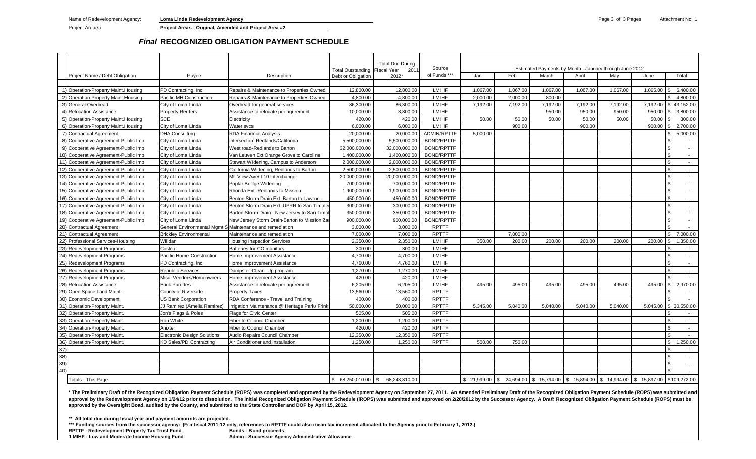Project Area(s) **Project Areas - Original, Amended and Project Area #2**

# *Final* **RECOGNIZED OBLIGATION PAYMENT SCHEDULE**

|                    |                                      |                                                          |                                               | Total Outstanding Fiscal Year | <b>Total Due During</b><br>201' | Source            | Estimated Payments by Month - January through June 2012                                    |          |          |          |          |           |                          |
|--------------------|--------------------------------------|----------------------------------------------------------|-----------------------------------------------|-------------------------------|---------------------------------|-------------------|--------------------------------------------------------------------------------------------|----------|----------|----------|----------|-----------|--------------------------|
|                    | Project Name / Debt Obligation       | Payee                                                    | Description                                   | Debt or Obligation            | 2012*                           | of Funds ***      | Jan                                                                                        | Feb      | March    | April    | May      | June      | Total                    |
|                    |                                      |                                                          |                                               |                               |                                 |                   |                                                                                            |          |          |          |          |           |                          |
|                    | 1) Operation-Property Maint. Housing | PD Contracting, Inc.                                     | Repairs & Maintenance to Properties Owned     | 12,800.00                     | 12,800.00                       | <b>LMIHF</b>      | 1.067.00                                                                                   | 1.067.00 | 1,067.00 | 1.067.00 | 1.067.00 | 1.065.00  | 6,400.00                 |
|                    | 2) Operation-Property Maint. Housing | Pacific MH Construction                                  | Repairs & Maintenance to Properties Owned     | 4,800.00                      | 4,800.00                        | <b>LMIHF</b>      | 2,000.00                                                                                   | 2,000.00 | 800.00   |          |          |           | 4,800.00<br>\$           |
|                    | 3) General Overhead                  | City of Loma Linda                                       | Overhead for general services                 | 86,300.00                     | 86,300.00                       | <b>LMIHF</b>      | 7,192.00                                                                                   | 7,192.00 | 7,192.00 | 7,192.00 | 7,192.00 |           | 7,192.00 \$ 43,152.00    |
|                    | 4) Relocation Assistance             | <b>Property Renters</b>                                  | Assistance to relocate per agreement          | 10,000.00                     | 3,800.00                        | LMIHF             |                                                                                            |          | 950.00   | 950.00   | 950.00   | 950.00    | 3,800.00                 |
|                    | 5) Operation-Property Maint. Housing | <b>SCE</b>                                               | Electricity                                   | 420.00                        | 420.00                          | <b>LMIHF</b>      | 50.00                                                                                      | 50.00    | 50.00    | 50.00    | 50.00    | 50.00     | 300.00                   |
|                    | 6) Operation-Property Maint. Housing | City of Loma Linda                                       | Water svcs                                    | 6.000.00                      | 6,000.00                        | LMIHF             |                                                                                            | 900.00   |          | 900.00   |          | 900.00    | 2.700.00                 |
|                    | 7) Contractual Agreement             | <b>DHA Consulting</b>                                    | <b>RDA Financial Analysis</b>                 | 20,000.00                     | 20,000.00                       | ADMIN/RPTTF       | 5,000.00                                                                                   |          |          |          |          |           | 5,000.00                 |
|                    | 8) Cooperative Agreement-Public Imp  | City of Loma Linda                                       | Intersection Redlands/California              | 5,500,000.00                  | 5,500,000.00                    | <b>BOND/RPTTF</b> |                                                                                            |          |          |          |          |           |                          |
|                    | 9) Cooperative Agreement-Public Imp  | City of Loma Linda                                       | West road-Redlands to Barton                  | 32,000,000.00                 | 32,000,000.00                   | <b>BOND/RPTTF</b> |                                                                                            |          |          |          |          |           | $\mathfrak{L}$<br>$\sim$ |
|                    | 10) Cooperative Agreement-Public Imp | City of Loma Linda                                       | Van Leuven Ext.Orange Grove to Caroline       | 1,400,000.00                  | 1,400,000.00                    | <b>BOND/RPTTF</b> |                                                                                            |          |          |          |          |           |                          |
|                    | 11) Cooperative Agreement-Public Imp | City of Loma Linda                                       | Stewart Widening, Campus to Anderson          | 2.000.000.00                  | 2.000.000.00                    | <b>BOND/RPTTF</b> |                                                                                            |          |          |          |          |           |                          |
|                    | 12) Cooperative Agreement-Public Imp | City of Loma Linda                                       | California Widening, Redlands to Barton       | 2,500,000.00                  | 2,500,000.00                    | <b>BOND/RPTTF</b> |                                                                                            |          |          |          |          |           | $\sim$                   |
|                    | 13) Cooperative Agreement-Public Imp | City of Loma Linda                                       | Mt. View Ave/ I-10 Interchange                | 20,000,000.00                 | 20,000,000.00                   | <b>BOND/RPTTF</b> |                                                                                            |          |          |          |          |           | . ድ<br>$\sim$            |
|                    | 14) Cooperative Agreement-Public Imp | City of Loma Linda                                       | Poplar Bridge Widening                        | 700,000.00                    | 700,000.00                      | <b>BOND/RPTTF</b> |                                                                                            |          |          |          |          |           | $\sim$                   |
|                    | 15) Cooperative Agreement-Public Imp | City of Loma Linda                                       | Rhonda Ext.-Redlands to Mission               | 1,900,000.00                  | 1,900,000.00                    | <b>BOND/RPTTF</b> |                                                                                            |          |          |          |          |           | $\sim$                   |
|                    | 16) Cooperative Agreement-Public Imp | City of Loma Linda                                       | Benton Storm Drain Ext. Barton to Lawton      | 450.000.00                    | 450.000.00                      | <b>BOND/RPTTF</b> |                                                                                            |          |          |          |          |           |                          |
|                    | 17) Cooperative Agreement-Public Imp | City of Loma Linda                                       | Benton Storm Drain Ext. UPRR to San Timote    | 300,000.00                    | 300,000.00                      | <b>BOND/RPTTF</b> |                                                                                            |          |          |          |          |           | $\sim$                   |
|                    | 18) Cooperative Agreement-Public Imp | City of Loma Linda                                       | Barton Storm Drain - New Jersey to San Timot  | 350,000.00                    | 350,000.00                      | <b>BOND/RPTTF</b> |                                                                                            |          |          |          |          |           | . ድ                      |
|                    | 19) Cooperative Agreement-Public Imp | City of Loma Linda                                       | New Jersey Storm Drain-Barton to Mission Za   | 900,000.00                    | 900,000.00                      | <b>BOND/RPTTF</b> |                                                                                            |          |          |          |          |           |                          |
|                    | 20) Contractual Agreement            | General Environmental Mgmt S Maintenance and remediation |                                               | 3,000.00                      | 3,000.00                        | <b>RPTTF</b>      |                                                                                            |          |          |          |          |           |                          |
|                    | 21) Contractual Agreement            | <b>Brickley Environmental</b>                            | Maintenance and remediation                   | 7,000.00                      | 7,000.00                        | <b>RPTTF</b>      |                                                                                            | 7.000.00 |          |          |          |           | 7.000.00<br>\$           |
|                    | 22) Professional Services-Housing    | Willdan                                                  | <b>Housing Inspection Services</b>            | 2,350.00                      | 2,350.00                        | <b>LMIHF</b>      | 350.00                                                                                     | 200.00   | 200.00   | 200.00   | 200.00   | 200.00    | 1,350.00<br>l \$         |
|                    | <b>Redevelopment Programs</b>        | Costco                                                   | Batteries for CO monitors                     | 300.00                        | 300.00                          | <b>LMIHF</b>      |                                                                                            |          |          |          |          |           |                          |
|                    | <b>Redevelopment Programs</b>        | Pacific Home Construction                                | Home Improvement Assistance                   | 4.700.00                      | 4.700.00                        | LMIHF             |                                                                                            |          |          |          |          |           |                          |
|                    | 25) Redevelopment Programs           | PD Contracting, Inc.                                     | Home Improvement Assistance                   | 4,760.00                      | 4,760.00                        | LMIHF             |                                                                                            |          |          |          |          |           | $\sim$                   |
| 26)                | <b>Redevelopment Programs</b>        | <b>Republic Services</b>                                 | Dumpster Clean - Up program                   | 1,270.00                      | 1,270.00                        | <b>LMIHF</b>      |                                                                                            |          |          |          |          |           |                          |
|                    | Redevelopment Programs               | Misc. Vendors/Homeowners                                 | Home Improvement Assistance                   | 420.00                        | 420.00                          | <b>LMIHF</b>      |                                                                                            |          |          |          |          |           |                          |
|                    | 28) Relocation Assistance            | <b>Erick Paredes</b>                                     | Assistance to relocate per agreement          | 6,205.00                      | 6,205.00                        | <b>LMIHF</b>      | 495.00                                                                                     | 495.00   | 495.00   | 495.00   | 495.00   | 495.00 \$ | 2,970.00                 |
|                    | 29) Open Space Land Maint.           | County of Riverside                                      | <b>Property Taxes</b>                         | 13.560.00                     | 13.560.00                       | <b>RPTTF</b>      |                                                                                            |          |          |          |          |           | $\overline{\phantom{a}}$ |
|                    | 30) Economic Development             | <b>US Bank Corporation</b>                               | RDA Conference - Travel and Training          | 400.00                        | 400.00                          | <b>RPTTF</b>      |                                                                                            |          |          |          |          |           |                          |
|                    | 31) Operation-Property Maint.        | JJ Ramirez (Amelia Ramirez)                              | Irrigation Maintenance @ Heritage Park/ Frink | 50,000.00                     | 50,000.00                       | <b>RPTTF</b>      | 5,345.00                                                                                   | 5,040.00 | 5,040.00 | 5,040.00 | 5,040.00 |           | 5,045.00 \$ 30,550.00    |
|                    | 32) Operation-Property Maint.        | Jon's Flags & Poles                                      | <b>Flags for Civic Center</b>                 | 505.00                        | 505.00                          | <b>RPTTF</b>      |                                                                                            |          |          |          |          |           |                          |
|                    | 33) Operation-Property Maint.        | <b>Ron White</b>                                         | Fiber to Council Chamber                      | 1,200.00                      | 1,200.00                        | <b>RPTTF</b>      |                                                                                            |          |          |          |          |           | $\sim$                   |
|                    | 34) Operation-Property Maint.        | Anixter                                                  | Fiber to Council Chamber                      | 420.00                        | 420.00                          | <b>RPTTF</b>      |                                                                                            |          |          |          |          |           | . ድ<br>$\sim$            |
|                    | 35) Operation-Property Maint         | <b>Electronic Design Solutions</b>                       | Audio Repairs Council Chamber                 | 12,350.00                     | 12,350.00                       | <b>RPTTF</b>      |                                                                                            |          |          |          |          |           |                          |
|                    | 36) Operation-Property Maint.        | <b>KD Sales/PD Contracting</b>                           | Air Conditioner and Installation              | 1,250.00                      | 1,250.00                        | <b>RPTTF</b>      | 500.00                                                                                     | 750.00   |          |          |          |           | \$<br>1,250.00           |
| 37)                |                                      |                                                          |                                               |                               |                                 |                   |                                                                                            |          |          |          |          |           | $\sim$                   |
| 38)                |                                      |                                                          |                                               |                               |                                 |                   |                                                                                            |          |          |          |          |           |                          |
| 39)                |                                      |                                                          |                                               |                               |                                 |                   |                                                                                            |          |          |          |          |           | . ድ                      |
| 40)                |                                      |                                                          |                                               |                               |                                 |                   |                                                                                            |          |          |          |          |           |                          |
| Totals - This Page |                                      |                                                          | $$68,250,010.00$ \ \ \$                       | 68,243,810.00                 |                                 |                   | \$ 21,999.00 \$ 24,694.00 \$ 15,794.00 \$ 15,894.00 \$ 14,994.00 \$ 15,897.00 \$109,272.00 |          |          |          |          |           |                          |

\* The Preliminary Draft of the Recognized Obligation Payment Schedule (ROPS) was completed and approved by the Redevelopment Agency on September 27, 2011. An Amended Preliminary Draft of the Recognized Obligation Payment S approval by the Redevelopment Agency on 1/24/12 prior to dissolution. The Initial Recognized Obligation Payment Schedule (iROPS) was submitted and approved on 2/28/2012 by the Successor Agency. A Draft Recognized Obligatio **approved by the Oversight Boad, audited by the County, and submitted to ths State Controller and DOF by April 15, 2012.**

**\*\* All total due during fiscal year and payment amounts are projected.**

\*\*\* Funding sources from the successor agency: (For fiscal 2011-12 only, references to RPTTF could also mean tax increment allocated to the Agency prior to February 1, 2012.)<br>RPTTF - Redevelopment Property Tax Trust Fund

**RPTTF - Redevelopment Property Tax Trust Fund**<br>**'LMIHF - Low and Moderate Income Housing Fund** 

**Admin - Successor Agency Administrative Allowance**